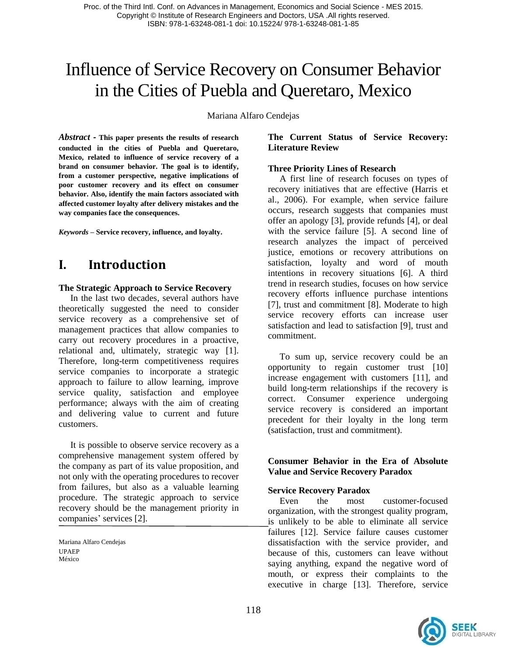# Influence of Service Recovery on Consumer Behavior in the Cities of Puebla and Queretaro, Mexico

Mariana Alfaro Cendejas

*Abstract -* **This paper presents the results of research conducted in the cities of Puebla and Queretaro, Mexico, related to influence of service recovery of a brand on consumer behavior. The goal is to identify, from a customer perspective, negative implications of poor customer recovery and its effect on consumer behavior. Also, identify the main factors associated with affected customer loyalty after delivery mistakes and the way companies face the consequences.**

*Keywords –* **Service recovery, influence, and loyalty.**

## **I. Introduction**

#### **The Strategic Approach to Service Recovery**

In the last two decades, several authors have theoretically suggested the need to consider service recovery as a comprehensive set of management practices that allow companies to carry out recovery procedures in a proactive, relational and, ultimately, strategic way [1]. Therefore, long-term competitiveness requires service companies to incorporate a strategic approach to failure to allow learning, improve service quality, satisfaction and employee performance; always with the aim of creating and delivering value to current and future customers.

It is possible to observe service recovery as a comprehensive management system offered by the company as part of its value proposition, and not only with the operating procedures to recover from failures, but also as a valuable learning procedure. The strategic approach to service recovery should be the management priority in companies' services [2].

### **The Current Status of Service Recovery: Literature Review**

#### **Three Priority Lines of Research**

A first line of research focuses on types of recovery initiatives that are effective (Harris et al., 2006). For example, when service failure occurs, research suggests that companies must offer an apology [3], provide refunds [4], or deal with the service failure [5]. A second line of research analyzes the impact of perceived justice, emotions or recovery attributions on satisfaction, loyalty and word of mouth intentions in recovery situations [6]. A third trend in research studies, focuses on how service recovery efforts influence purchase intentions [7], trust and commitment [8]. Moderate to high service recovery efforts can increase user satisfaction and lead to satisfaction [9], trust and commitment.

To sum up, service recovery could be an opportunity to regain customer trust [10] increase engagement with customers [11], and build long-term relationships if the recovery is correct. Consumer experience undergoing service recovery is considered an important precedent for their loyalty in the long term (satisfaction, trust and commitment).

### **Consumer Behavior in the Era of Absolute Value and Service Recovery Paradox**

#### **Service Recovery Paradox**

Even the most customer-focused organization, with the strongest quality program, is unlikely to be able to eliminate all service failures [12]. Service failure causes customer dissatisfaction with the service provider, and because of this, customers can leave without saying anything, expand the negative word of mouth, or express their complaints to the executive in charge [13]. Therefore, service



Mariana Alfaro Cendejas UPAEP México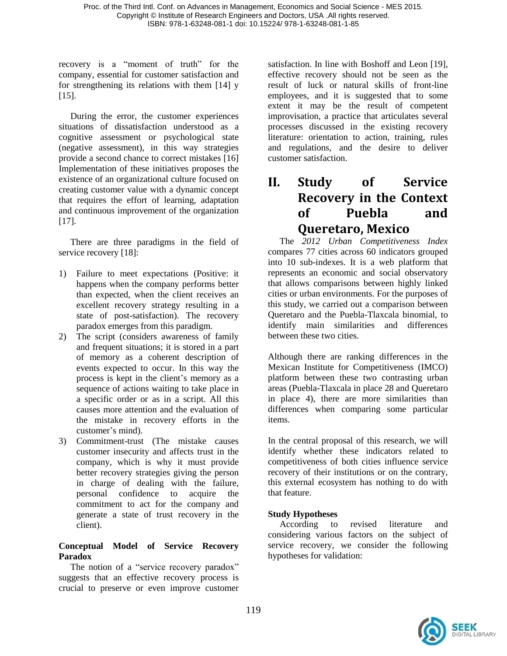recovery is a "moment of truth" for the company, essential for customer satisfaction and for strengthening its relations with them [14] y [15].

During the error, the customer experiences situations of dissatisfaction understood as a cognitive assessment or psychological state (negative assessment), in this way strategies provide a second chance to correct mistakes [16] Implementation of these initiatives proposes the existence of an organizational culture focused on creating customer value with a dynamic concept that requires the effort of learning, adaptation and continuous improvement of the organization [17].

There are three paradigms in the field of service recovery [18]:

- 1) Failure to meet expectations (Positive: it happens when the company performs better than expected, when the client receives an excellent recovery strategy resulting in a state of post-satisfaction). The recovery paradox emerges from this paradigm.
- 2) The script (considers awareness of family and frequent situations; it is stored in a part of memory as a coherent description of events expected to occur. In this way the process is kept in the client's memory as a sequence of actions waiting to take place in a specific order or as in a script. All this causes more attention and the evaluation of the mistake in recovery efforts in the customer's mind).
- 3) Commitment-trust (The mistake causes customer insecurity and affects trust in the company, which is why it must provide better recovery strategies giving the person in charge of dealing with the failure, personal confidence to acquire the commitment to act for the company and generate a state of trust recovery in the client).

## **Conceptual Model of Service Recovery Paradox**

The notion of a "service recovery paradox" suggests that an effective recovery process is crucial to preserve or even improve customer

satisfaction. In line with Boshoff and Leon [19], effective recovery should not be seen as the result of luck or natural skills of front-line employees, and it is suggested that to some extent it may be the result of competent improvisation, a practice that articulates several processes discussed in the existing recovery literature: orientation to action, training, rules and regulations, and the desire to deliver customer satisfaction.

## **II. Study of Service Recovery in the Context of Puebla and Queretaro, Mexico**

The *2012 Urban Competitiveness Index* compares 77 cities across 60 indicators grouped into 10 sub-indexes. It is a web platform that represents an economic and social observatory that allows comparisons between highly linked cities or urban environments. For the purposes of this study, we carried out a comparison between Queretaro and the Puebla-Tlaxcala binomial, to identify main similarities and differences between these two cities.

Although there are ranking differences in the Mexican Institute for Competitiveness (IMCO) platform between these two contrasting urban areas (Puebla-Tlaxcala in place 28 and Queretaro in place 4), there are more similarities than differences when comparing some particular items.

In the central proposal of this research, we will identify whether these indicators related to competitiveness of both cities influence service recovery of their institutions or on the contrary, this external ecosystem has nothing to do with that feature.

## **Study Hypotheses**

According to revised literature and considering various factors on the subject of service recovery, we consider the following hypotheses for validation:

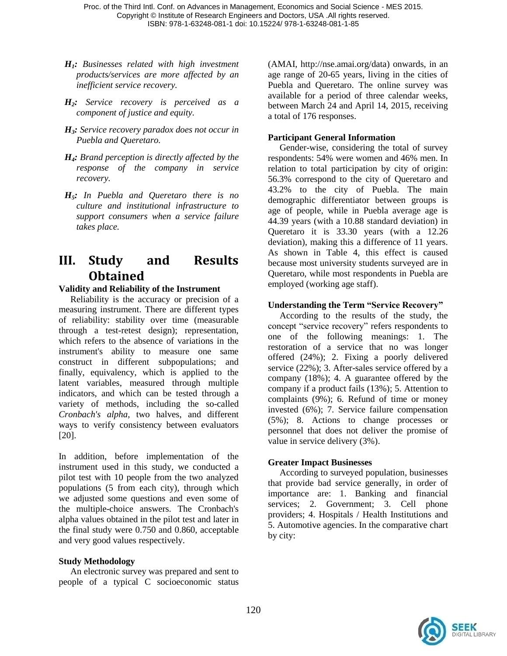- *H1: Businesses related with high investment products/services are more affected by an inefficient service recovery.*
- *H2: Service recovery is perceived as a component of justice and equity.*
- *H3: Service recovery paradox does not occur in Puebla and Queretaro.*
- *H4: Brand perception is directly affected by the response of the company in service recovery.*
- *H5: In Puebla and Queretaro there is no culture and institutional infrastructure to support consumers when a service failure takes place.*

## **III. Study and Results Obtained**

### **Validity and Reliability of the Instrument**

Reliability is the accuracy or precision of a measuring instrument. There are different types of reliability: stability over time (measurable through a test-retest design); representation, which refers to the absence of variations in the instrument's ability to measure one same construct in different subpopulations; and finally, equivalency, which is applied to the latent variables, measured through multiple indicators, and which can be tested through a variety of methods, including the so-called *Cronbach's alpha*, two halves, and different ways to verify consistency between evaluators [20].

In addition, before implementation of the instrument used in this study, we conducted a pilot test with 10 people from the two analyzed populations (5 from each city), through which we adjusted some questions and even some of the multiple-choice answers. The Cronbach's alpha values obtained in the pilot test and later in the final study were 0.750 and 0.860, acceptable and very good values respectively.

#### **Study Methodology**

An electronic survey was prepared and sent to people of a typical C socioeconomic status

(AMAI, http://nse.amai.org/data) onwards, in an age range of 20-65 years, living in the cities of Puebla and Queretaro. The online survey was available for a period of three calendar weeks, between March 24 and April 14, 2015, receiving a total of 176 responses.

## **Participant General Information**

Gender-wise, considering the total of survey respondents: 54% were women and 46% men. In relation to total participation by city of origin: 56.3% correspond to the city of Queretaro and 43.2% to the city of Puebla. The main demographic differentiator between groups is age of people, while in Puebla average age is 44.39 years (with a 10.88 standard deviation) in Queretaro it is 33.30 years (with a 12.26 deviation), making this a difference of 11 years. As shown in Table 4, this effect is caused because most university students surveyed are in Queretaro, while most respondents in Puebla are employed (working age staff).

## **Understanding the Term "Service Recovery"**

According to the results of the study, the concept "service recovery" refers respondents to one of the following meanings: 1. The restoration of a service that no was longer offered (24%); 2. Fixing a poorly delivered service (22%); 3. After-sales service offered by a company (18%); 4. A guarantee offered by the company if a product fails (13%); 5. Attention to complaints (9%); 6. Refund of time or money invested (6%); 7. Service failure compensation (5%); 8. Actions to change processes or personnel that does not deliver the promise of value in service delivery (3%).

## **Greater Impact Businesses**

According to surveyed population, businesses that provide bad service generally, in order of importance are: 1. Banking and financial services; 2. Government; 3. Cell phone providers; 4. Hospitals / Health Institutions and 5. Automotive agencies. In the comparative chart by city:

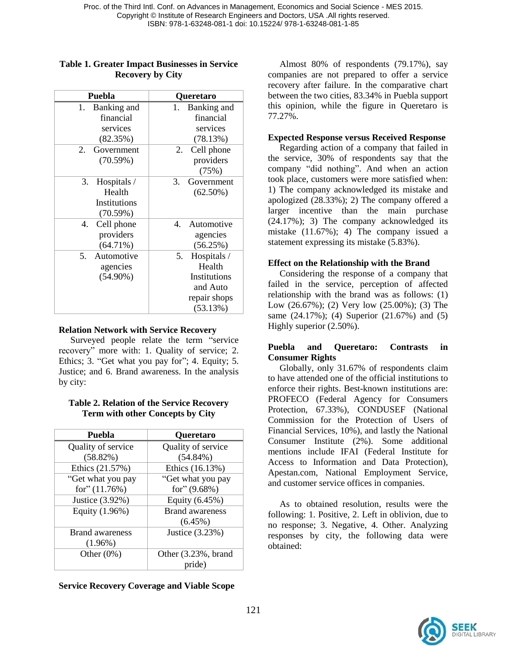| Puebla                | <b>Queretaro</b>  |
|-----------------------|-------------------|
| Banking and<br>1.     | Banking and<br>1. |
| financial             | financial         |
| services              | services          |
| (82.35%)              | (78.13%)          |
| Government<br>$2_{-}$ | Cell phone<br>2.  |
| (70.59%)              | providers         |
|                       | (75%)             |
| 3.<br>Hospitals /     | Government<br>3.  |
| Health                | $(62.50\%)$       |
| Institutions          |                   |
| (70.59%)              |                   |
| Cell phone<br>4.      | Automotive<br>4   |
| providers             | agencies          |
| $(64.71\%)$           | (56.25%)          |
| Automotive<br>5.      | Hospitals /<br>5. |
| agencies              | Health            |
| $(54.90\%)$           | Institutions      |
|                       | and Auto          |
|                       | repair shops      |
|                       | (53.13%)          |

#### **Table 1. Greater Impact Businesses in Service Recovery by City**

## **Relation Network with Service Recovery**

Surveyed people relate the term "service recovery" more with: 1. Quality of service; 2. Ethics; 3. "Get what you pay for"; 4. Equity; 5. Justice; and 6. Brand awareness. In the analysis by city:

#### **Table 2. Relation of the Service Recovery Term with other Concepts by City**

| Puebla                 | <b>Queretaro</b>       |
|------------------------|------------------------|
| Quality of service     | Quality of service     |
| (58.82%)               | $(54.84\%)$            |
| Ethics (21.57%)        | Ethics (16.13%)        |
| "Get what you pay      | "Get what you pay      |
| for" $(11.76%)$        | for" $(9.68\%)$        |
| Justice (3.92%)        | Equity (6.45%)         |
| Equity (1.96%)         | <b>Brand awareness</b> |
|                        | $(6.45\%)$             |
| <b>Brand awareness</b> | Justice (3.23%)        |
| $(1.96\%)$             |                        |
| Other $(0\%)$          | Other (3.23%, brand    |
|                        | pride)                 |

**Service Recovery Coverage and Viable Scope**

Almost 80% of respondents (79.17%), say companies are not prepared to offer a service recovery after failure. In the comparative chart between the two cities, 83.34% in Puebla support this opinion, while the figure in Queretaro is 77.27%.

## **Expected Response versus Received Response**

Regarding action of a company that failed in the service, 30% of respondents say that the company "did nothing". And when an action took place, customers were more satisfied when: 1) The company acknowledged its mistake and apologized (28.33%); 2) The company offered a larger incentive than the main purchase (24.17%); 3) The company acknowledged its mistake (11.67%); 4) The company issued a statement expressing its mistake (5.83%).

## **Effect on the Relationship with the Brand**

Considering the response of a company that failed in the service, perception of affected relationship with the brand was as follows: (1) Low (26.67%); (2) Very low (25.00%); (3) The same (24.17%); (4) Superior (21.67%) and (5) Highly superior (2.50%).

### **Puebla and Queretaro: Contrasts in Consumer Rights**

Globally, only 31.67% of respondents claim to have attended one of the official institutions to enforce their rights. Best-known institutions are: PROFECO (Federal Agency for Consumers Protection, 67.33%), CONDUSEF (National Commission for the Protection of Users of Financial Services, 10%), and lastly the National Consumer Institute (2%). Some additional mentions include IFAI (Federal Institute for Access to Information and Data Protection), Apestan.com, National Employment Service, and customer service offices in companies.

As to obtained resolution, results were the following: 1. Positive, 2. Left in oblivion, due to no response; 3. Negative, 4. Other. Analyzing responses by city, the following data were obtained:

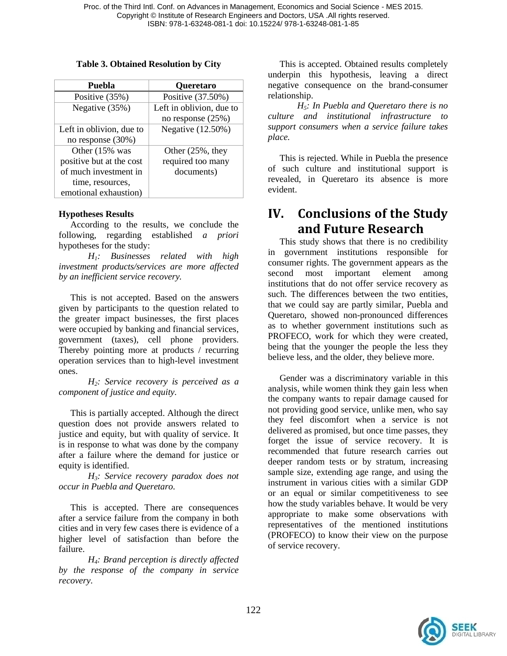### **Table 3. Obtained Resolution by City**

| Puebla                   | <b>Queretaro</b>         |
|--------------------------|--------------------------|
| Positive (35%)           | Positive (37.50%)        |
| Negative (35%)           | Left in oblivion, due to |
|                          | no response $(25%)$      |
| Left in oblivion, due to | Negative (12.50%)        |
| no response (30%)        |                          |
| Other (15% was           | Other $(25\%$ , they     |
| positive but at the cost | required too many        |
| of much investment in    | documents)               |
| time, resources,         |                          |
| emotional exhaustion)    |                          |

## **Hypotheses Results**

According to the results, we conclude the following, regarding established *a priori* hypotheses for the study:

*H1: Businesses related with high investment products/services are more affected by an inefficient service recovery.*

This is not accepted. Based on the answers given by participants to the question related to the greater impact businesses, the first places were occupied by banking and financial services, government (taxes), cell phone providers. Thereby pointing more at products / recurring operation services than to high-level investment ones.

*H2: Service recovery is perceived as a component of justice and equity.*

This is partially accepted. Although the direct question does not provide answers related to justice and equity, but with quality of service. It is in response to what was done by the company after a failure where the demand for justice or equity is identified.

*H3: Service recovery paradox does not occur in Puebla and Queretaro.*

This is accepted. There are consequences after a service failure from the company in both cities and in very few cases there is evidence of a higher level of satisfaction than before the failure.

*H4: Brand perception is directly affected by the response of the company in service recovery.*

This is accepted. Obtained results completely underpin this hypothesis, leaving a direct negative consequence on the brand-consumer relationship.

*H5: In Puebla and Queretaro there is no culture and institutional infrastructure to support consumers when a service failure takes place.*

This is rejected. While in Puebla the presence of such culture and institutional support is revealed, in Queretaro its absence is more evident.

## **IV. Conclusions of the Study and Future Research**

This study shows that there is no credibility in government institutions responsible for consumer rights. The government appears as the second most important element among institutions that do not offer service recovery as such. The differences between the two entities, that we could say are partly similar, Puebla and Queretaro, showed non-pronounced differences as to whether government institutions such as PROFECO, work for which they were created, being that the younger the people the less they believe less, and the older, they believe more.

Gender was a discriminatory variable in this analysis, while women think they gain less when the company wants to repair damage caused for not providing good service, unlike men, who say they feel discomfort when a service is not delivered as promised, but once time passes, they forget the issue of service recovery. It is recommended that future research carries out deeper random tests or by stratum, increasing sample size, extending age range, and using the instrument in various cities with a similar GDP or an equal or similar competitiveness to see how the study variables behave. It would be very appropriate to make some observations with representatives of the mentioned institutions (PROFECO) to know their view on the purpose of service recovery.